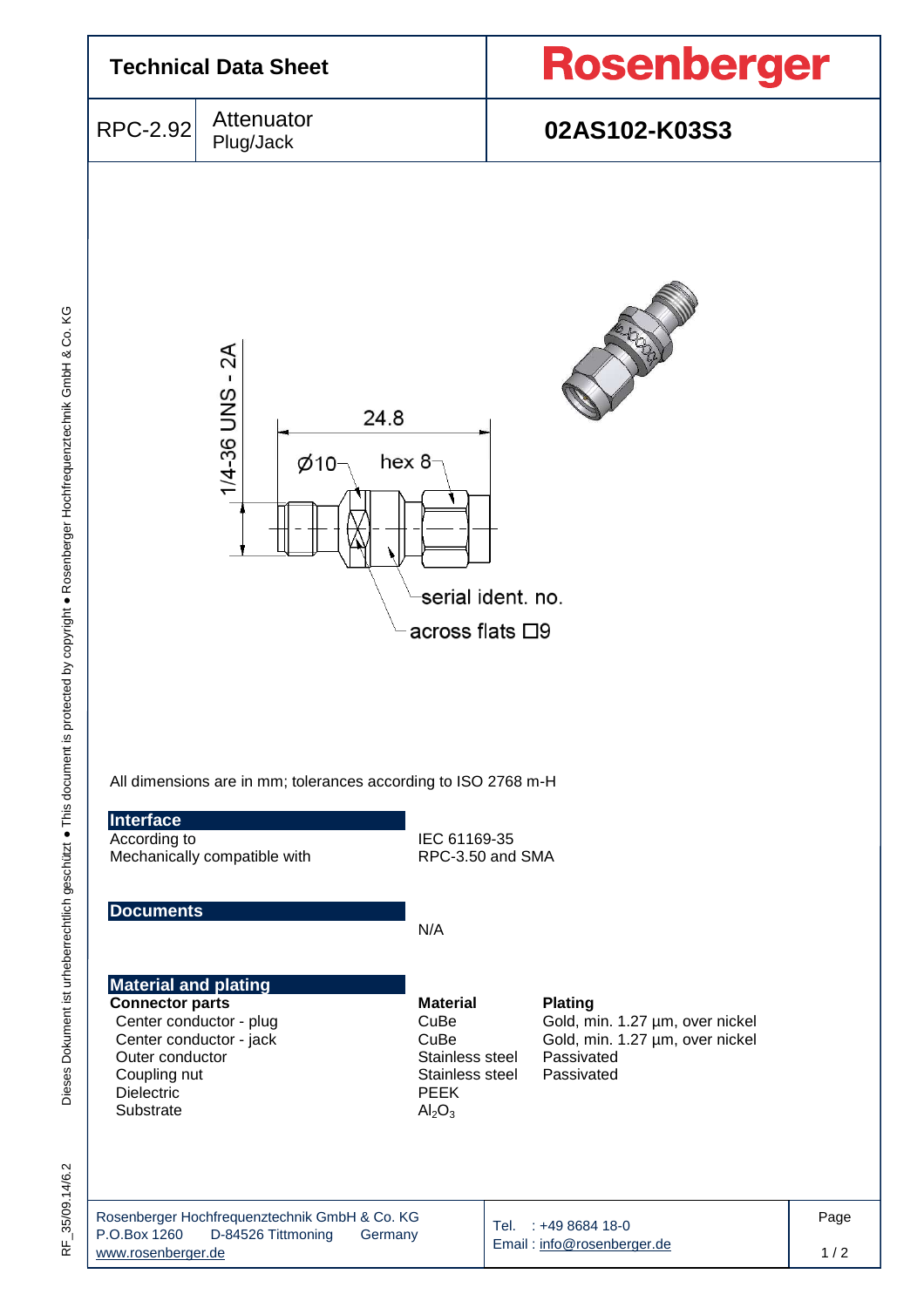

35/09.14/6.2 RF\_35/09.14/6.2 눈